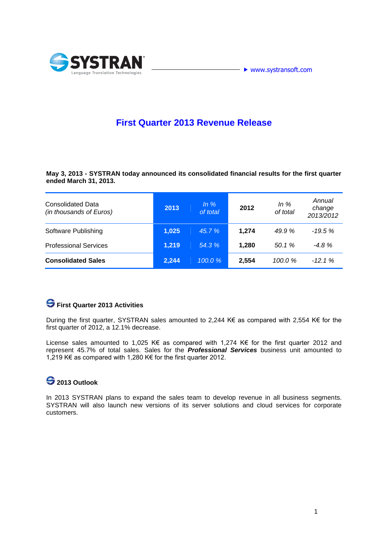



### **First Quarter 2013 Revenue Release**

**May 3, 2013 - SYSTRAN today announced its consolidated financial results for the first quarter ended March 31, 2013.** 

| <b>Consolidated Data</b><br>(in thousands of Euros) | 2013  | $ln \%$<br>of total | 2012  | In $%$<br>of total | Annual<br>change<br>2013/2012 |
|-----------------------------------------------------|-------|---------------------|-------|--------------------|-------------------------------|
| Software Publishing                                 | 1,025 | 45.7%               | 1,274 | 49.9 %             | $-19.5%$                      |
| <b>Professional Services</b>                        | 1,219 | 54.3 %              | 1,280 | 50.1 %             | $-4.8%$                       |
| <b>Consolidated Sales</b>                           | 2,244 | $100.0 \%$          | 2,554 | 100.0%             | $-12.1%$                      |

# **First Quarter 2013 Activities**

During the first quarter, SYSTRAN sales amounted to 2,244 K€ as compared with 2,554 K€ for the first quarter of 2012, a 12.1% decrease.

License sales amounted to 1,025 K€ as compared with 1,274 K€ for the first quarter 2012 and represent 45.7% of total sales. Sales for the *Professional Services* business unit amounted to 1,219 K€ as compared with 1,280 K€ for the first quarter 2012.

## **2013 Outlook**

In 2013 SYSTRAN plans to expand the sales team to develop revenue in all business segments. SYSTRAN will also launch new versions of its server solutions and cloud services for corporate customers.